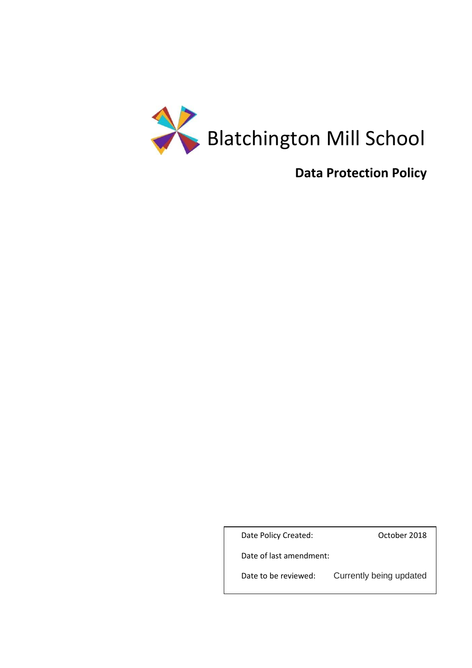

# **Data Protection Policy**

Date Policy Created: Case Corp. 0ctober 2018

Date of last amendment:

Date to be reviewed: Currently being updated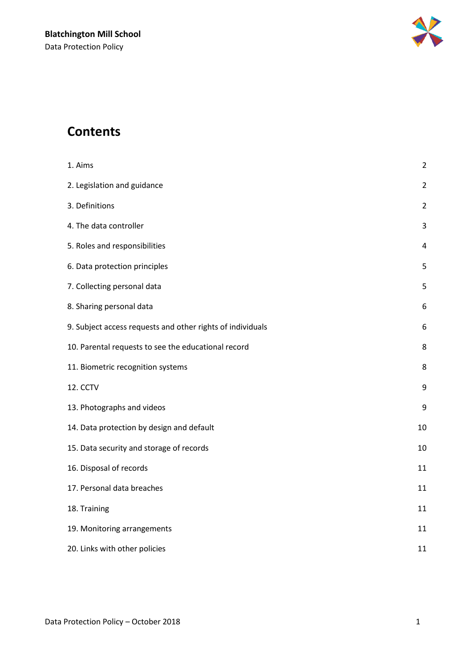

# **Contents**

| 1. Aims                                                    | $\overline{2}$ |
|------------------------------------------------------------|----------------|
| 2. Legislation and guidance                                | $\overline{2}$ |
| 3. Definitions                                             | $\overline{2}$ |
| 4. The data controller                                     | 3              |
| 5. Roles and responsibilities                              | 4              |
| 6. Data protection principles                              | 5              |
| 7. Collecting personal data                                | 5              |
| 8. Sharing personal data                                   | 6              |
| 9. Subject access requests and other rights of individuals | 6              |
| 10. Parental requests to see the educational record        | 8              |
| 11. Biometric recognition systems                          | 8              |
| 12. CCTV                                                   | 9              |
| 13. Photographs and videos                                 | 9              |
| 14. Data protection by design and default                  | 10             |
| 15. Data security and storage of records                   | 10             |
| 16. Disposal of records                                    | 11             |
| 17. Personal data breaches                                 | 11             |
| 18. Training                                               | 11             |
| 19. Monitoring arrangements                                | 11             |
| 20. Links with other policies                              | 11             |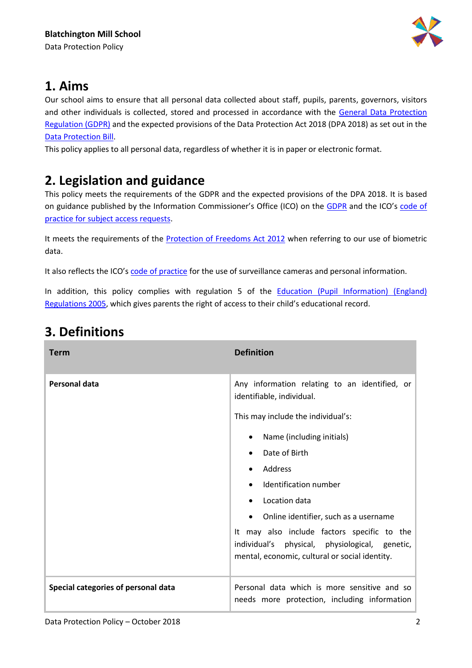

## **1. Aims**

Our school aims to ensure that all personal data collected about staff, pupils, parents, governors, visitors and other individuals is collected, stored and processed in accordance with the [General Data Protection](http://data.consilium.europa.eu/doc/document/ST-5419-2016-INIT/en/pdf)  [Regulation \(GDPR\)](http://data.consilium.europa.eu/doc/document/ST-5419-2016-INIT/en/pdf) and the expected provisions of the Data Protection Act 2018 (DPA 2018) as set out in the [Data Protection Bill.](https://publications.parliament.uk/pa/bills/cbill/2017-2019/0153/18153.pdf)

This policy applies to all personal data, regardless of whether it is in paper or electronic format.

# **2. Legislation and guidance**

This policy meets the requirements of the GDPR and the expected provisions of the DPA 2018. It is based on guidance published by the Information Commissioner's Office (ICO) on the [GDPR](https://ico.org.uk/for-organisations/guide-to-the-general-data-protection-regulation-gdpr/) and the ICO's [code of](https://ico.org.uk/media/for-organisations/documents/2014223/subject-access-code-of-practice.pdf)  [practice for subject access requests.](https://ico.org.uk/media/for-organisations/documents/2014223/subject-access-code-of-practice.pdf)

It meets the requirements of the [Protection of Freedoms Act 2012](https://www.legislation.gov.uk/ukpga/2012/9/part/1/chapter/2) when referring to our use of biometric data.

It also reflects the ICO's [code of practice](https://ico.org.uk/media/for-organisations/documents/1542/cctv-code-of-practice.pdf) for the use of surveillance cameras and personal information.

In addition, this policy complies with regulation 5 of the Education (Pupil Information) (England) [Regulations 2005,](http://www.legislation.gov.uk/uksi/2005/1437/regulation/5/made) which gives parents the right of access to their child's educational record.

| <b>Term</b>                         | <b>Definition</b>                                                                                                                                                                                                                                                                                                                                                                                                                                         |
|-------------------------------------|-----------------------------------------------------------------------------------------------------------------------------------------------------------------------------------------------------------------------------------------------------------------------------------------------------------------------------------------------------------------------------------------------------------------------------------------------------------|
| Personal data                       | Any information relating to an identified, or<br>identifiable, individual.<br>This may include the individual's:<br>Name (including initials)<br>$\bullet$<br>Date of Birth<br>$\bullet$<br>Address<br>Identification number<br>Location data<br>Online identifier, such as a username<br>$\bullet$<br>It may also include factors specific to the<br>physical, physiological, genetic,<br>individual's<br>mental, economic, cultural or social identity. |
| Special categories of personal data | Personal data which is more sensitive and so<br>needs more protection, including information                                                                                                                                                                                                                                                                                                                                                              |

# **3. Definitions**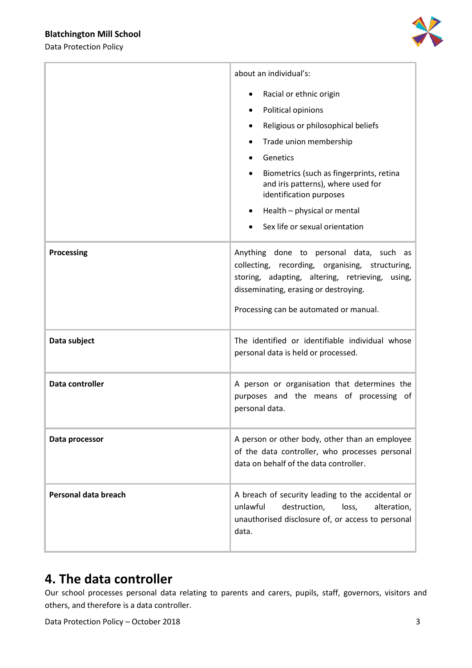Data Protection Policy



|                      | about an individual's:                                                                                                                                                                                                           |  |
|----------------------|----------------------------------------------------------------------------------------------------------------------------------------------------------------------------------------------------------------------------------|--|
|                      | Racial or ethnic origin                                                                                                                                                                                                          |  |
|                      | Political opinions<br>$\bullet$                                                                                                                                                                                                  |  |
|                      | Religious or philosophical beliefs<br>$\bullet$                                                                                                                                                                                  |  |
|                      | Trade union membership                                                                                                                                                                                                           |  |
|                      | Genetics                                                                                                                                                                                                                         |  |
|                      | Biometrics (such as fingerprints, retina<br>and iris patterns), where used for<br>identification purposes                                                                                                                        |  |
|                      | Health - physical or mental<br>$\bullet$                                                                                                                                                                                         |  |
|                      | Sex life or sexual orientation                                                                                                                                                                                                   |  |
| <b>Processing</b>    | Anything done to personal data, such as<br>collecting, recording, organising, structuring,<br>storing, adapting, altering, retrieving, using,<br>disseminating, erasing or destroying.<br>Processing can be automated or manual. |  |
| Data subject         | The identified or identifiable individual whose<br>personal data is held or processed.                                                                                                                                           |  |
| Data controller      | A person or organisation that determines the<br>purposes and the means of processing of<br>personal data.                                                                                                                        |  |
| Data processor       | A person or other body, other than an employee<br>of the data controller, who processes personal<br>data on behalf of the data controller.                                                                                       |  |
| Personal data breach | A breach of security leading to the accidental or<br>unlawful<br>destruction,<br>loss,<br>alteration,<br>unauthorised disclosure of, or access to personal<br>data.                                                              |  |

## **4. The data controller**

Our school processes personal data relating to parents and carers, pupils, staff, governors, visitors and others, and therefore is a data controller.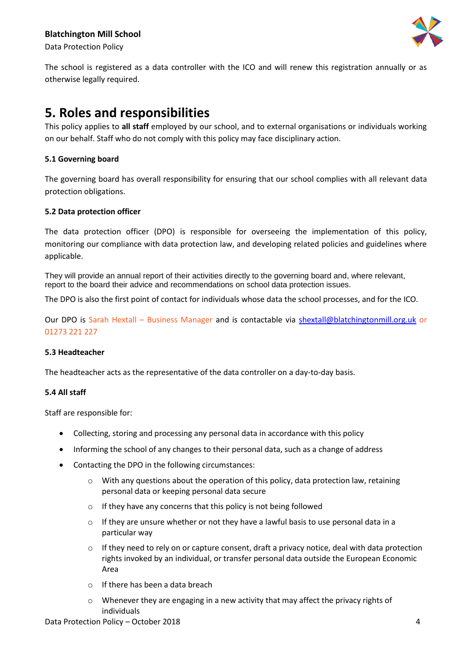

Data Protection Policy

The school is registered as a data controller with the ICO and will renew this registration annually or as otherwise legally required.

### **5. Roles and responsibilities**

This policy applies to **all staff** employed by our school, and to external organisations or individuals working on our behalf. Staff who do not comply with this policy may face disciplinary action.

#### **5.1 Governing board**

The governing board has overall responsibility for ensuring that our school complies with all relevant data protection obligations.

#### **5.2 Data protection officer**

The data protection officer (DPO) is responsible for overseeing the implementation of this policy, monitoring our compliance with data protection law, and developing related policies and guidelines where applicable.

They will provide an annual report of their activities directly to the governing board and, where relevant, report to the board their advice and recommendations on school data protection issues.

The DPO is also the first point of contact for individuals whose data the school processes, and for the ICO.

Our DPO is Sarah Hextall – Business Manager and is contactable via [shextall@blatchingtonmill.org.uk](mailto:shextall@blatchingtonmill.org.uk) or 01273 221 227

#### **5.3 Headteacher**

The headteacher acts as the representative of the data controller on a day-to-day basis.

#### **5.4 All staff**

Staff are responsible for:

- Collecting, storing and processing any personal data in accordance with this policy
- Informing the school of any changes to their personal data, such as a change of address
- Contacting the DPO in the following circumstances:
	- $\circ$  With any questions about the operation of this policy, data protection law, retaining personal data or keeping personal data secure
	- o If they have any concerns that this policy is not being followed
	- o If they are unsure whether or not they have a lawful basis to use personal data in a particular way
	- $\circ$  If they need to rely on or capture consent, draft a privacy notice, deal with data protection rights invoked by an individual, or transfer personal data outside the European Economic Area
	- o If there has been a data breach
	- o Whenever they are engaging in a new activity that may affect the privacy rights of individuals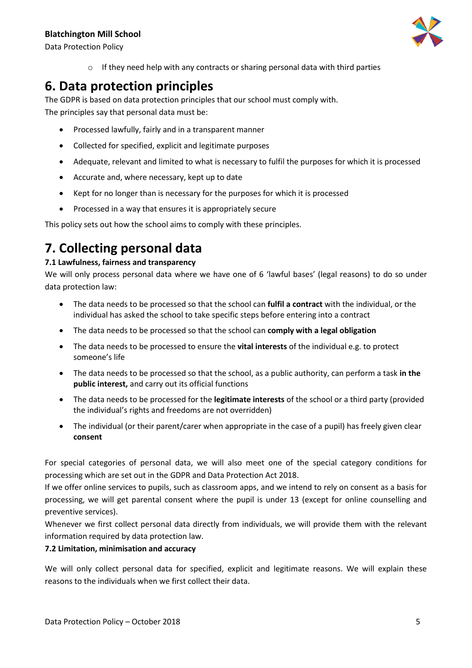

Data Protection Policy

o If they need help with any contracts or sharing personal data with third parties

## **6. Data protection principles**

The GDPR is based on data protection principles that our school must comply with. The principles say that personal data must be:

- Processed lawfully, fairly and in a transparent manner
- Collected for specified, explicit and legitimate purposes
- Adequate, relevant and limited to what is necessary to fulfil the purposes for which it is processed
- Accurate and, where necessary, kept up to date
- Kept for no longer than is necessary for the purposes for which it is processed
- Processed in a way that ensures it is appropriately secure

This policy sets out how the school aims to comply with these principles.

# **7. Collecting personal data**

### **7.1 Lawfulness, fairness and transparency**

We will only process personal data where we have one of 6 'lawful bases' (legal reasons) to do so under data protection law:

- The data needs to be processed so that the school can **fulfil a contract** with the individual, or the individual has asked the school to take specific steps before entering into a contract
- The data needs to be processed so that the school can **comply with a legal obligation**
- The data needs to be processed to ensure the **vital interests** of the individual e.g. to protect someone's life
- The data needs to be processed so that the school, as a public authority, can perform a task **in the public interest,** and carry out its official functions
- The data needs to be processed for the **legitimate interests** of the school or a third party (provided the individual's rights and freedoms are not overridden)
- The individual (or their parent/carer when appropriate in the case of a pupil) has freely given clear **consent**

For special categories of personal data, we will also meet one of the special category conditions for processing which are set out in the GDPR and Data Protection Act 2018.

If we offer online services to pupils, such as classroom apps, and we intend to rely on consent as a basis for processing, we will get parental consent where the pupil is under 13 (except for online counselling and preventive services).

Whenever we first collect personal data directly from individuals, we will provide them with the relevant information required by data protection law.

#### **7.2 Limitation, minimisation and accuracy**

We will only collect personal data for specified, explicit and legitimate reasons. We will explain these reasons to the individuals when we first collect their data.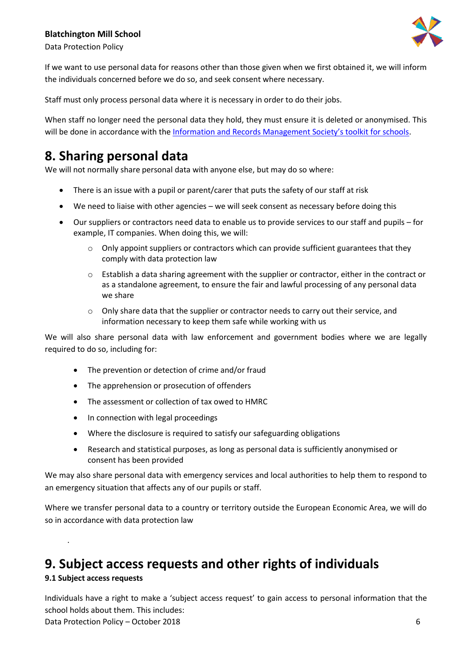



Data Protection Policy

If we want to use personal data for reasons other than those given when we first obtained it, we will inform the individuals concerned before we do so, and seek consent where necessary.

Staff must only process personal data where it is necessary in order to do their jobs.

When staff no longer need the personal data they hold, they must ensure it is deleted or anonymised. This will be done in accordance with the [Information and Records Management Society's toolkit for schools](http://irms.org.uk/?page=schoolstoolkit&terms=%22toolkit+and+schools%22).

# **8. Sharing personal data**

We will not normally share personal data with anyone else, but may do so where:

- There is an issue with a pupil or parent/carer that puts the safety of our staff at risk
- We need to liaise with other agencies we will seek consent as necessary before doing this
- Our suppliers or contractors need data to enable us to provide services to our staff and pupils for example, IT companies. When doing this, we will:
	- $\circ$  Only appoint suppliers or contractors which can provide sufficient guarantees that they comply with data protection law
	- o Establish a data sharing agreement with the supplier or contractor, either in the contract or as a standalone agreement, to ensure the fair and lawful processing of any personal data we share
	- o Only share data that the supplier or contractor needs to carry out their service, and information necessary to keep them safe while working with us

We will also share personal data with law enforcement and government bodies where we are legally required to do so, including for:

- The prevention or detection of crime and/or fraud
- The apprehension or prosecution of offenders
- The assessment or collection of tax owed to HMRC
- In connection with legal proceedings
- Where the disclosure is required to satisfy our safeguarding obligations
- Research and statistical purposes, as long as personal data is sufficiently anonymised or consent has been provided

We may also share personal data with emergency services and local authorities to help them to respond to an emergency situation that affects any of our pupils or staff.

Where we transfer personal data to a country or territory outside the European Economic Area, we will do so in accordance with data protection law

## **9. Subject access requests and other rights of individuals**

### **9.1 Subject access requests**

.

Data Protection Policy – October 2018 **6** Individuals have a right to make a 'subject access request' to gain access to personal information that the school holds about them. This includes: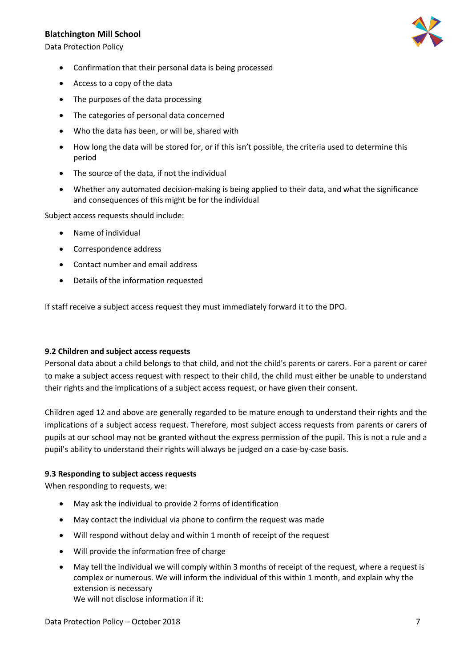Data Protection Policy

- Confirmation that their personal data is being processed
- Access to a copy of the data
- The purposes of the data processing
- The categories of personal data concerned
- Who the data has been, or will be, shared with
- How long the data will be stored for, or if this isn't possible, the criteria used to determine this period
- The source of the data, if not the individual
- Whether any automated decision-making is being applied to their data, and what the significance and consequences of this might be for the individual

Subject access requests should include:

- Name of individual
- Correspondence address
- Contact number and email address
- Details of the information requested

If staff receive a subject access request they must immediately forward it to the DPO.

#### **9.2 Children and subject access requests**

Personal data about a child belongs to that child, and not the child's parents or carers. For a parent or carer to make a subject access request with respect to their child, the child must either be unable to understand their rights and the implications of a subject access request, or have given their consent.

Children aged 12 and above are generally regarded to be mature enough to understand their rights and the implications of a subject access request. Therefore, most subject access requests from parents or carers of pupils at our school may not be granted without the express permission of the pupil. This is not a rule and a pupil's ability to understand their rights will always be judged on a case-by-case basis.

#### **9.3 Responding to subject access requests**

When responding to requests, we:

- May ask the individual to provide 2 forms of identification
- May contact the individual via phone to confirm the request was made
- Will respond without delay and within 1 month of receipt of the request
- Will provide the information free of charge
- May tell the individual we will comply within 3 months of receipt of the request, where a request is complex or numerous. We will inform the individual of this within 1 month, and explain why the extension is necessary We will not disclose information if it:

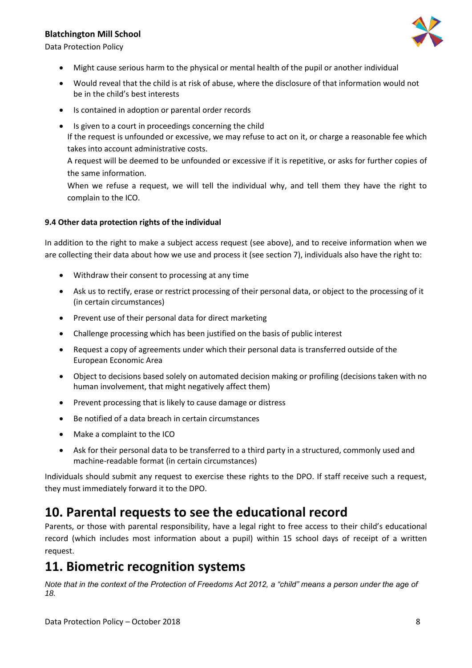



- Might cause serious harm to the physical or mental health of the pupil or another individual
- Would reveal that the child is at risk of abuse, where the disclosure of that information would not be in the child's best interests
- Is contained in adoption or parental order records
- Is given to a court in proceedings concerning the child If the request is unfounded or excessive, we may refuse to act on it, or charge a reasonable fee which takes into account administrative costs.

A request will be deemed to be unfounded or excessive if it is repetitive, or asks for further copies of the same information.

When we refuse a request, we will tell the individual why, and tell them they have the right to complain to the ICO.

#### **9.4 Other data protection rights of the individual**

In addition to the right to make a subject access request (see above), and to receive information when we are collecting their data about how we use and process it (see section 7), individuals also have the right to:

- Withdraw their consent to processing at any time
- Ask us to rectify, erase or restrict processing of their personal data, or object to the processing of it (in certain circumstances)
- Prevent use of their personal data for direct marketing
- Challenge processing which has been justified on the basis of public interest
- Request a copy of agreements under which their personal data is transferred outside of the European Economic Area
- Object to decisions based solely on automated decision making or profiling (decisions taken with no human involvement, that might negatively affect them)
- Prevent processing that is likely to cause damage or distress
- Be notified of a data breach in certain circumstances
- Make a complaint to the ICO
- Ask for their personal data to be transferred to a third party in a structured, commonly used and machine-readable format (in certain circumstances)

Individuals should submit any request to exercise these rights to the DPO. If staff receive such a request, they must immediately forward it to the DPO.

### **10. Parental requests to see the educational record**

Parents, or those with parental responsibility, have a legal right to free access to their child's educational record (which includes most information about a pupil) within 15 school days of receipt of a written request.

### **11. Biometric recognition systems**

*Note that in the context of the Protection of Freedoms Act 2012, a "child" means a person under the age of 18.*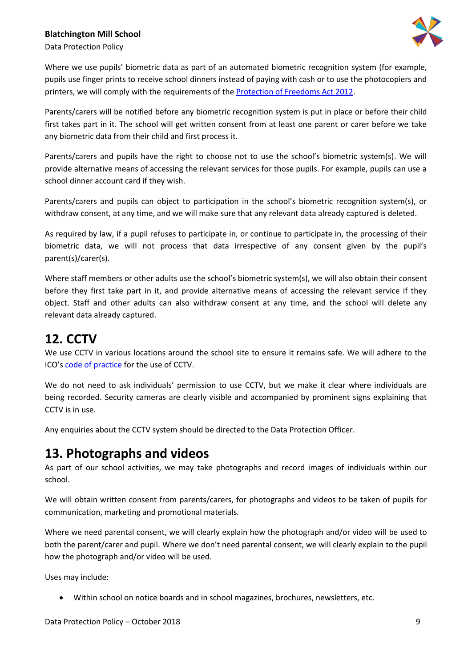

Data Protection Policy

Where we use pupils' biometric data as part of an automated biometric recognition system (for example, pupils use finger prints to receive school dinners instead of paying with cash or to use the photocopiers and printers, we will comply with the requirements of the [Protection of Freedoms Act 2012.](https://www.legislation.gov.uk/ukpga/2012/9/section/26)

Parents/carers will be notified before any biometric recognition system is put in place or before their child first takes part in it. The school will get written consent from at least one parent or carer before we take any biometric data from their child and first process it.

Parents/carers and pupils have the right to choose not to use the school's biometric system(s). We will provide alternative means of accessing the relevant services for those pupils. For example, pupils can use a school dinner account card if they wish.

Parents/carers and pupils can object to participation in the school's biometric recognition system(s), or withdraw consent, at any time, and we will make sure that any relevant data already captured is deleted.

As required by law, if a pupil refuses to participate in, or continue to participate in, the processing of their biometric data, we will not process that data irrespective of any consent given by the pupil's parent(s)/carer(s).

Where staff members or other adults use the school's biometric system(s), we will also obtain their consent before they first take part in it, and provide alternative means of accessing the relevant service if they object. Staff and other adults can also withdraw consent at any time, and the school will delete any relevant data already captured.

## **12. CCTV**

We use CCTV in various locations around the school site to ensure it remains safe. We will adhere to the ICO's [code of practice](https://ico.org.uk/media/for-organisations/documents/1542/cctv-code-of-practice.pdf) for the use of CCTV.

We do not need to ask individuals' permission to use CCTV, but we make it clear where individuals are being recorded. Security cameras are clearly visible and accompanied by prominent signs explaining that CCTV is in use.

Any enquiries about the CCTV system should be directed to the Data Protection Officer.

### **13. Photographs and videos**

As part of our school activities, we may take photographs and record images of individuals within our school.

We will obtain written consent from parents/carers, for photographs and videos to be taken of pupils for communication, marketing and promotional materials.

Where we need parental consent, we will clearly explain how the photograph and/or video will be used to both the parent/carer and pupil. Where we don't need parental consent, we will clearly explain to the pupil how the photograph and/or video will be used.

Uses may include:

• Within school on notice boards and in school magazines, brochures, newsletters, etc.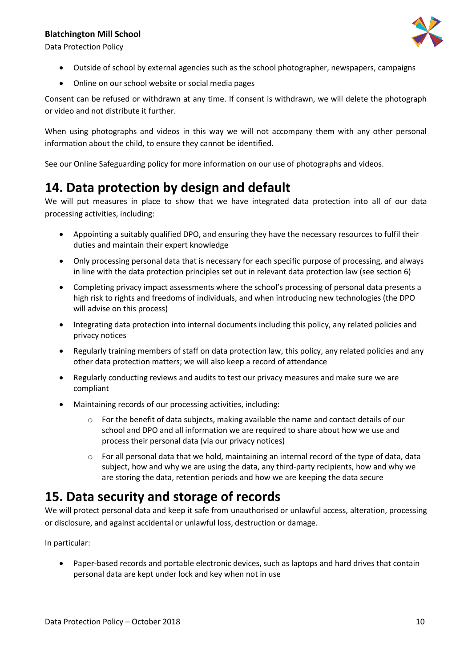

Data Protection Policy

- Outside of school by external agencies such as the school photographer, newspapers, campaigns
- Online on our school website or social media pages

Consent can be refused or withdrawn at any time. If consent is withdrawn, we will delete the photograph or video and not distribute it further.

When using photographs and videos in this way we will not accompany them with any other personal information about the child, to ensure they cannot be identified.

See our Online Safeguarding policy for more information on our use of photographs and videos.

## **14. Data protection by design and default**

We will put measures in place to show that we have integrated data protection into all of our data processing activities, including:

- Appointing a suitably qualified DPO, and ensuring they have the necessary resources to fulfil their duties and maintain their expert knowledge
- Only processing personal data that is necessary for each specific purpose of processing, and always in line with the data protection principles set out in relevant data protection law (see section 6)
- Completing privacy impact assessments where the school's processing of personal data presents a high risk to rights and freedoms of individuals, and when introducing new technologies (the DPO will advise on this process)
- Integrating data protection into internal documents including this policy, any related policies and privacy notices
- Regularly training members of staff on data protection law, this policy, any related policies and any other data protection matters; we will also keep a record of attendance
- Regularly conducting reviews and audits to test our privacy measures and make sure we are compliant
- Maintaining records of our processing activities, including:
	- $\circ$  For the benefit of data subjects, making available the name and contact details of our school and DPO and all information we are required to share about how we use and process their personal data (via our privacy notices)
	- $\circ$  For all personal data that we hold, maintaining an internal record of the type of data, data subject, how and why we are using the data, any third-party recipients, how and why we are storing the data, retention periods and how we are keeping the data secure

## **15. Data security and storage of records**

We will protect personal data and keep it safe from unauthorised or unlawful access, alteration, processing or disclosure, and against accidental or unlawful loss, destruction or damage.

In particular:

• Paper-based records and portable electronic devices, such as laptops and hard drives that contain personal data are kept under lock and key when not in use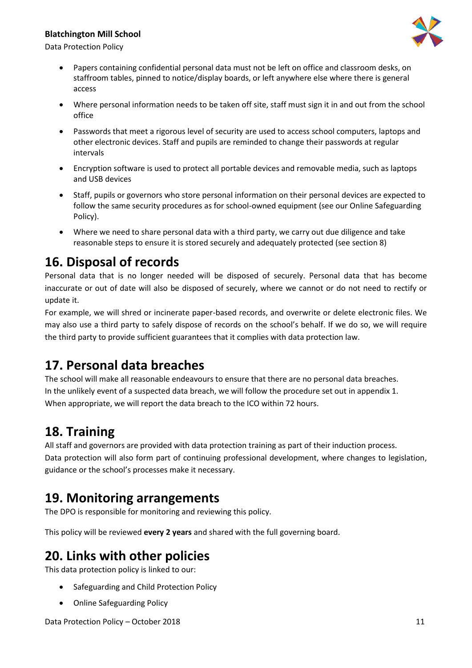

Data Protection Policy

- Papers containing confidential personal data must not be left on office and classroom desks, on staffroom tables, pinned to notice/display boards, or left anywhere else where there is general access
- Where personal information needs to be taken off site, staff must sign it in and out from the school office
- Passwords that meet a rigorous level of security are used to access school computers, laptops and other electronic devices. Staff and pupils are reminded to change their passwords at regular intervals
- Encryption software is used to protect all portable devices and removable media, such as laptops and USB devices
- Staff, pupils or governors who store personal information on their personal devices are expected to follow the same security procedures as for school-owned equipment (see our Online Safeguarding Policy).
- Where we need to share personal data with a third party, we carry out due diligence and take reasonable steps to ensure it is stored securely and adequately protected (see section 8)

## **16. Disposal of records**

Personal data that is no longer needed will be disposed of securely. Personal data that has become inaccurate or out of date will also be disposed of securely, where we cannot or do not need to rectify or update it.

For example, we will shred or incinerate paper-based records, and overwrite or delete electronic files. We may also use a third party to safely dispose of records on the school's behalf. If we do so, we will require the third party to provide sufficient guarantees that it complies with data protection law.

## **17. Personal data breaches**

The school will make all reasonable endeavours to ensure that there are no personal data breaches. In the unlikely event of a suspected data breach, we will follow the procedure set out in appendix 1. When appropriate, we will report the data breach to the ICO within 72 hours.

## **18. Training**

All staff and governors are provided with data protection training as part of their induction process. Data protection will also form part of continuing professional development, where changes to legislation, guidance or the school's processes make it necessary.

## **19. Monitoring arrangements**

The DPO is responsible for monitoring and reviewing this policy.

This policy will be reviewed **every 2 years** and shared with the full governing board.

## **20. Links with other policies**

This data protection policy is linked to our:

- Safeguarding and Child Protection Policy
- Online Safeguarding Policy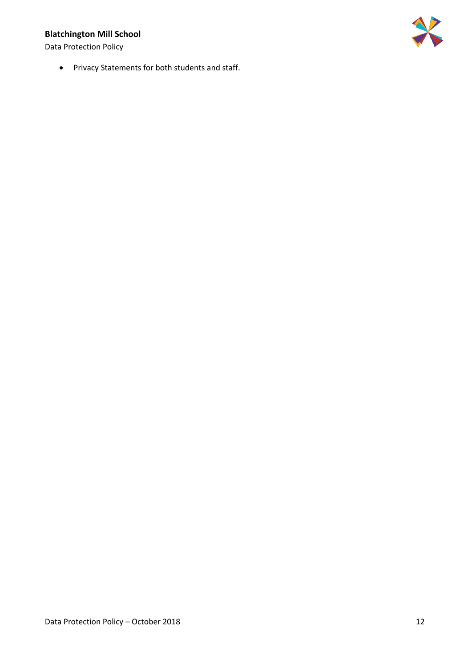Data Protection Policy

• Privacy Statements for both students and staff.

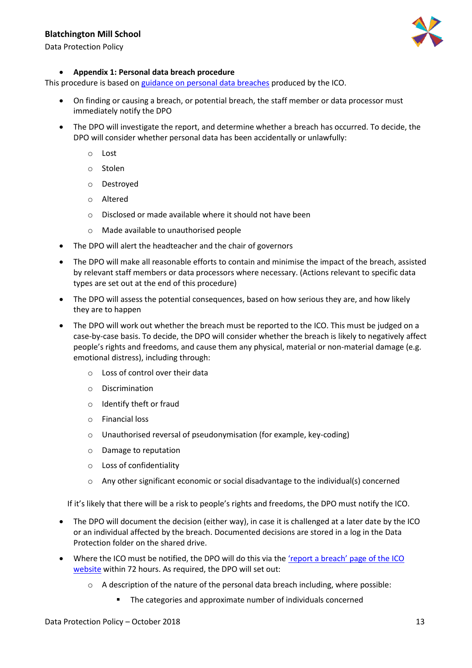

Data Protection Policy

#### • **Appendix 1: Personal data breach procedure**

This procedure is based o[n guidance on personal data breaches](https://ico.org.uk/for-organisations/guide-to-the-general-data-protection-regulation-gdpr/personal-data-breaches/) produced by the ICO.

- On finding or causing a breach, or potential breach, the staff member or data processor must immediately notify the DPO
- The DPO will investigate the report, and determine whether a breach has occurred. To decide, the DPO will consider whether personal data has been accidentally or unlawfully:
	- o Lost
	- o Stolen
	- o Destroyed
	- o Altered
	- o Disclosed or made available where it should not have been
	- o Made available to unauthorised people
- The DPO will alert the headteacher and the chair of governors
- The DPO will make all reasonable efforts to contain and minimise the impact of the breach, assisted by relevant staff members or data processors where necessary. (Actions relevant to specific data types are set out at the end of this procedure)
- The DPO will assess the potential consequences, based on how serious they are, and how likely they are to happen
- The DPO will work out whether the breach must be reported to the ICO. This must be judged on a case-by-case basis. To decide, the DPO will consider whether the breach is likely to negatively affect people's rights and freedoms, and cause them any physical, material or non-material damage (e.g. emotional distress), including through:
	- o Loss of control over their data
	- o Discrimination
	- o Identify theft or fraud
	- o Financial loss
	- o Unauthorised reversal of pseudonymisation (for example, key-coding)
	- o Damage to reputation
	- o Loss of confidentiality
	- $\circ$  Any other significant economic or social disadvantage to the individual(s) concerned

If it's likely that there will be a risk to people's rights and freedoms, the DPO must notify the ICO.

- The DPO will document the decision (either way), in case it is challenged at a later date by the ICO or an individual affected by the breach. Documented decisions are stored in a log in the Data Protection folder on the shared drive.
- Where the ICO must be notified, the DPO will do this via the ['report a breach' page of the](https://ico.org.uk/for-organisations/report-a-breach/) ICO [website](https://ico.org.uk/for-organisations/report-a-breach/) within 72 hours. As required, the DPO will set out:
	- $\circ$  A description of the nature of the personal data breach including, where possible:
		- The categories and approximate number of individuals concerned